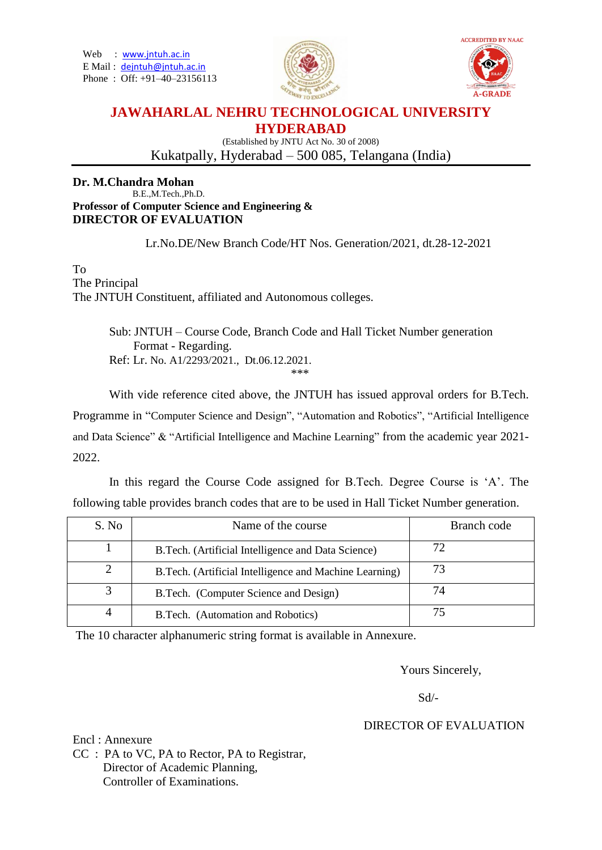Web : [www.jntuh.ac.in](http://www.jntuh.ac.in/) E Mail : [dejntuh@jntuh.ac.in](mailto:dejntuh@jntuh.ac.in) Phone : Off: +91–40–23156113





# **JAWAHARLAL NEHRU TECHNOLOGICAL UNIVERSITY HYDERABAD**

(Established by JNTU Act No. 30 of 2008) Kukatpally, Hyderabad – 500 085, Telangana (India)

#### **Dr. M.Chandra Mohan** B.E.,M.Tech.,Ph.D. **Professor of Computer Science and Engineering & DIRECTOR OF EVALUATION**

Lr.No.DE/New Branch Code/HT Nos. Generation/2021, dt.28-12-2021

To The Principal The JNTUH Constituent, affiliated and Autonomous colleges.

> Sub: JNTUH – Course Code, Branch Code and Hall Ticket Number generation Format - Regarding. Ref: Lr. No. A1/2293/2021., Dt.06.12.2021. \*\*\*

With vide reference cited above, the JNTUH has issued approval orders for B.Tech. Programme in "Computer Science and Design", "Automation and Robotics", "Artificial Intelligence and Data Science" & "Artificial Intelligence and Machine Learning" from the academic year 2021- 2022.

In this regard the Course Code assigned for B.Tech. Degree Course is 'A'. The following table provides branch codes that are to be used in Hall Ticket Number generation.

| S. No | Name of the course                                     | Branch code |
|-------|--------------------------------------------------------|-------------|
|       | B. Tech. (Artificial Intelligence and Data Science)    |             |
|       | B.Tech. (Artificial Intelligence and Machine Learning) |             |
|       | B. Tech. (Computer Science and Design)                 | 74          |
|       | B.Tech. (Automation and Robotics)                      |             |

The 10 character alphanumeric string format is available in Annexure.

Yours Sincerely,

Sd/-

## DIRECTOR OF EVALUATION

Encl : Annexure CC : PA to VC, PA to Rector, PA to Registrar, Director of Academic Planning, Controller of Examinations.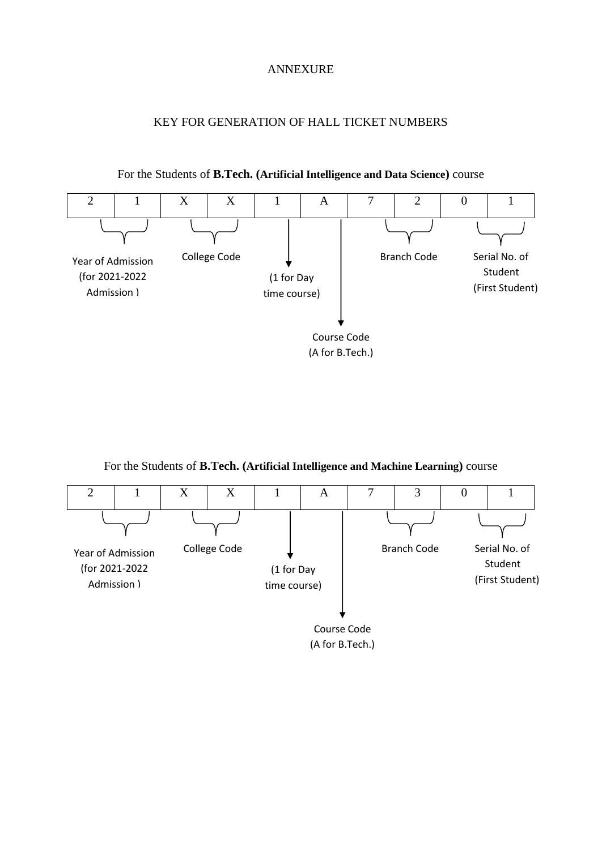### ANNEXURE

# KEY FOR GENERATION OF HALL TICKET NUMBERS



For the Students of **B.Tech. (Artificial Intelligence and Data Science)** course

For the Students of **B.Tech. (Artificial Intelligence and Machine Learning)** course